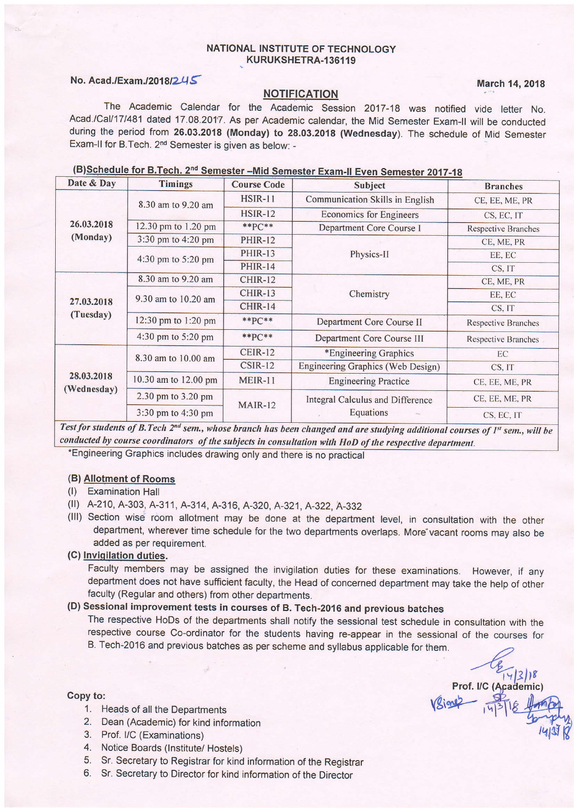### NATIONAL INSTITUTE OF TECHNOLOGY KURUKSHETRA.136119

## No. Acad./Exam./2018/245

#### **NOTIFICATION**

Prof. I/C (Academic)

The Academic Calendar for the Academic Session 2017-18 was notified vide letter No. Acad./Cal/17/481 dated 17.08.2017. As per Academic calendar, the Mid Semester Exam-II will be conducted during the period from 26.03.2018 (Monday) to 28.03.2018 (Wednesday). The schedule of Mid Semester Exam-II for B.Tech. 2<sup>nd</sup> Semester is given as below: -

|  | (B)Schedule for B.Tech. 2 <sup>nd</sup> Semester - Mid Semester Exam-II Even Semester 2017-18 |  |
|--|-----------------------------------------------------------------------------------------------|--|
|--|-----------------------------------------------------------------------------------------------|--|

| Date & Day                                                                                                                                                                                                                                                                                                  | <b>Timings</b>       | <b>Course Code</b> | Subject                           | <b>Branches</b>            |
|-------------------------------------------------------------------------------------------------------------------------------------------------------------------------------------------------------------------------------------------------------------------------------------------------------------|----------------------|--------------------|-----------------------------------|----------------------------|
|                                                                                                                                                                                                                                                                                                             | 8.30 am to 9.20 am   | <b>HSIR-11</b>     | Communication Skills in English   | CE, EE, ME, PR             |
|                                                                                                                                                                                                                                                                                                             |                      | <b>HSIR-12</b>     | <b>Economics for Engineers</b>    | CS, EC, IT                 |
| 26.03.2018                                                                                                                                                                                                                                                                                                  | 12.30 pm to 1.20 pm  | $*$ $P C$ **       | Department Core Course I          | <b>Respective Branches</b> |
| (Monday)                                                                                                                                                                                                                                                                                                    | 3:30 pm to 4:20 pm   | <b>PHIR-12</b>     |                                   | CE, ME, PR                 |
|                                                                                                                                                                                                                                                                                                             | 4:30 pm to 5:20 pm   | <b>PHIR-13</b>     | Physics-II                        | EE, EC                     |
|                                                                                                                                                                                                                                                                                                             |                      | <b>PHIR-14</b>     |                                   | CS, IT                     |
|                                                                                                                                                                                                                                                                                                             | 8.30 am to 9.20 am   | <b>CHIR-12</b>     |                                   | CE, ME, PR                 |
|                                                                                                                                                                                                                                                                                                             | 9.30 am to 10.20 am  | CHIR-13            | Chemistry                         | EE, EC                     |
| 27.03.2018                                                                                                                                                                                                                                                                                                  |                      | CHIR-14            |                                   | CS, IT                     |
| (Tuesday)                                                                                                                                                                                                                                                                                                   | 12:30 pm to 1:20 pm  | $*$ $PC**$         | Department Core Course II         | <b>Respective Branches</b> |
|                                                                                                                                                                                                                                                                                                             | 4:30 pm to 5:20 pm   | $*$ $PC**$         | Department Core Course III        | <b>Respective Branches</b> |
|                                                                                                                                                                                                                                                                                                             | 8.30 am to 10.00 am  | <b>CEIR-12</b>     | *Engineering Graphics             | EC                         |
|                                                                                                                                                                                                                                                                                                             |                      | $CSIR-12$          | Engineering Graphics (Web Design) | CS, IT                     |
| 28.03.2018<br>(Wednesday)                                                                                                                                                                                                                                                                                   | 10.30 am to 12.00 pm | <b>MEIR-11</b>     | <b>Engineering Practice</b>       | CE, EE, ME, PR             |
|                                                                                                                                                                                                                                                                                                             | 2.30 pm to 3.20 pm   | <b>MAIR-12</b>     | Integral Calculus and Difference  | CE, EE, ME, PR             |
| $\mathbf{r}$ . $\mathbf{r}$ , $\mathbf{r}$ , $\mathbf{r}$ , $\mathbf{r}$ , $\mathbf{r}$ , $\mathbf{r}$ , $\mathbf{r}$ , $\mathbf{r}$ , $\mathbf{r}$ , $\mathbf{r}$ , $\mathbf{r}$ , $\mathbf{r}$ , $\mathbf{r}$ , $\mathbf{r}$ , $\mathbf{r}$ , $\mathbf{r}$ , $\mathbf{r}$ , $\mathbf{r}$ , $\mathbf{r}$ , | 3:30 pm to 4:30 pm   |                    | <b>Equations</b>                  | CS, EC, IT                 |

Test for students of B. Tech  $2^{nd}$  sem., whose branch has been changed and are studying additional courses of  $I<sup>st</sup>$  sem., will be conducted by course coordinators of the subjects in consultation with HoD of the respective department.

Graphics includes drawing only and there is no practica

# (B) **Allotment of Rooms**<br>(I) Examination Hall

- 
- (II) A-210, A-303, A-311, A-314, A-316, A-320, A-321, A-322, A-332
- (lll) Section wise room allotment may be done at the department level, in consultation with the other department, wherever time schedule for the two departments overlaps. More vacant rooms may also be added as per requirement.

### (C) Inviqilation duties.

Faculty members may be assigned the invigilation duties for these examinations. However, if any department does not have sufficient faculty, the Head of concerned department may take the help of other faculty (Regular and others) from other departments.

## (D) Sessional improvement tests in courses of B. Tech-2016 and previous batches

The respective HoDs of the departments shall notify the sessional test schedule in consultation with the respective course Co-ordinator for the students having re-appear in the sessional of the courses for B. Tech-2016 and previous batches as per scheme and syllabus applicable for them.

### Copy to:

- 1. Heads of all the Departments
- 2. Dean (Academic) for kind information
- 3. Prof. UC (Examinations)
- 4. Notice Boards (lnstitute/ Hostels)
- 5. Sr. Secretary to Registrar for kind information of the Registrar 6. Sr. Secretary to Director for kind information of the Director
-